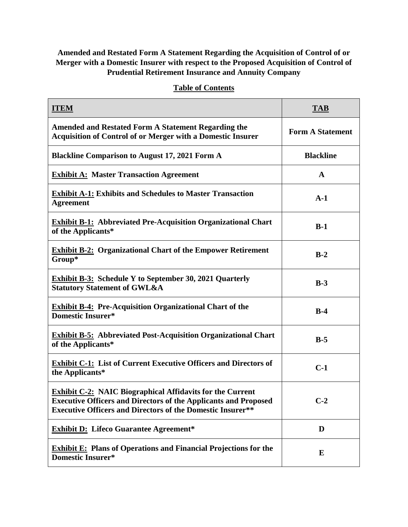## **Amended and Restated Form A Statement Regarding the Acquisition of Control of or Merger with a Domestic Insurer with respect to the Proposed Acquisition of Control of Prudential Retirement Insurance and Annuity Company**

| <b>ITEM</b>                                                                                                                                                                                                     | <b>TAB</b>              |
|-----------------------------------------------------------------------------------------------------------------------------------------------------------------------------------------------------------------|-------------------------|
| <b>Amended and Restated Form A Statement Regarding the</b><br><b>Acquisition of Control of or Merger with a Domestic Insurer</b>                                                                                | <b>Form A Statement</b> |
| <b>Blackline Comparison to August 17, 2021 Form A</b>                                                                                                                                                           | <b>Blackline</b>        |
| <b>Exhibit A: Master Transaction Agreement</b>                                                                                                                                                                  | $\mathbf{A}$            |
| <b>Exhibit A-1: Exhibits and Schedules to Master Transaction</b><br><b>Agreement</b>                                                                                                                            | $A-1$                   |
| <b>Exhibit B-1:</b> Abbreviated Pre-Acquisition Organizational Chart<br>of the Applicants*                                                                                                                      | $B-1$                   |
| <b>Exhibit B-2: Organizational Chart of the Empower Retirement</b><br>Group*                                                                                                                                    | $B-2$                   |
| <b>Exhibit B-3:</b> Schedule Y to September 30, 2021 Quarterly<br><b>Statutory Statement of GWL&amp;A</b>                                                                                                       | $B-3$                   |
| <b>Exhibit B-4: Pre-Acquisition Organizational Chart of the</b><br><b>Domestic Insurer*</b>                                                                                                                     | $B-4$                   |
| <b>Exhibit B-5:</b> Abbreviated Post-Acquisition Organizational Chart<br>of the Applicants*                                                                                                                     | $B-5$                   |
| <b>Exhibit C-1:</b> List of Current Executive Officers and Directors of<br>the Applicants*                                                                                                                      | $C-1$                   |
| <b>Exhibit C-2: NAIC Biographical Affidavits for the Current</b><br><b>Executive Officers and Directors of the Applicants and Proposed</b><br><b>Executive Officers and Directors of the Domestic Insurer**</b> | $C-2$                   |
| <b>Exhibit D:</b> Lifeco Guarantee Agreement*                                                                                                                                                                   | D                       |

## **Table of Contents**

**Exhibit E: Plans of Operations and Financial Projections for the Domestic Insurer\* <sup>E</sup>**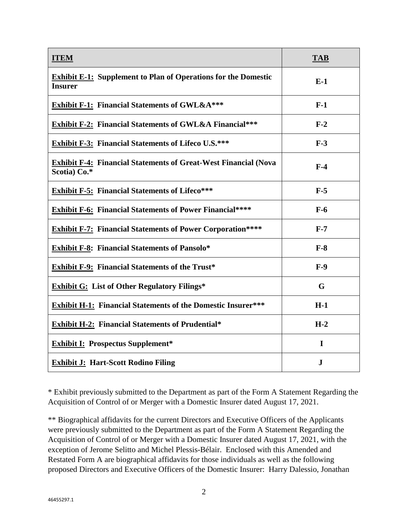| <b>ITEM</b>                                                                             | <b>TAB</b>  |
|-----------------------------------------------------------------------------------------|-------------|
| <b>Exhibit E-1:</b> Supplement to Plan of Operations for the Domestic<br><b>Insurer</b> | $E-1$       |
| <b>Exhibit F-1: Financial Statements of GWL&amp;A***</b>                                | $F-1$       |
| <b>Exhibit F-2: Financial Statements of GWL&amp;A Financial***</b>                      | $F-2$       |
| <b>Exhibit F-3: Financial Statements of Lifeco U.S.***</b>                              | $F-3$       |
| <b>Exhibit F-4: Financial Statements of Great-West Financial (Nova</b><br>Scotia) Co.*  | $F-4$       |
| <b>Exhibit F-5: Financial Statements of Lifeco***</b>                                   | $F-5$       |
| <b>Exhibit F-6: Financial Statements of Power Financial****</b>                         | $F-6$       |
| <b>Exhibit F-7: Financial Statements of Power Corporation****</b>                       | $F-7$       |
| <b>Exhibit F-8: Financial Statements of Pansolo*</b>                                    | $F-8$       |
| <b>Exhibit F-9: Financial Statements of the Trust*</b>                                  | $F-9$       |
| <b>Exhibit G:</b> List of Other Regulatory Filings*                                     | G           |
| <b>Exhibit H-1: Financial Statements of the Domestic Insurer***</b>                     | $H-1$       |
| <b>Exhibit H-2: Financial Statements of Prudential*</b>                                 | $H-2$       |
| <b>Exhibit I: Prospectus Supplement*</b>                                                | $\mathbf I$ |
| <b>Exhibit J: Hart-Scott Rodino Filing</b>                                              | ${\bf J}$   |

\* Exhibit previously submitted to the Department as part of the Form A Statement Regarding the Acquisition of Control of or Merger with a Domestic Insurer dated August 17, 2021.

\*\* Biographical affidavits for the current Directors and Executive Officers of the Applicants were previously submitted to the Department as part of the Form A Statement Regarding the Acquisition of Control of or Merger with a Domestic Insurer dated August 17, 2021, with the exception of Jerome Selitto and Michel Plessis-Bélair. Enclosed with this Amended and Restated Form A are biographical affidavits for those individuals as well as the following proposed Directors and Executive Officers of the Domestic Insurer: Harry Dalessio, Jonathan